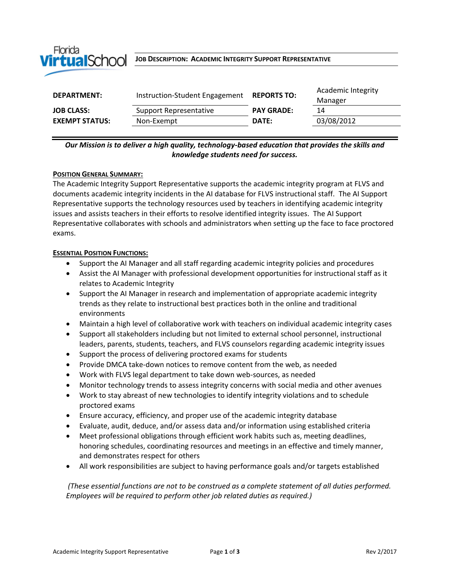

#### **JOB DESCRIPTION: ACADEMIC INTEGRITY SUPPORT REPRESENTATIVE**

| <b>DEPARTMENT:</b>    | Instruction-Student Engagement | <b>REPORTS TO:</b> | Academic Integrity |
|-----------------------|--------------------------------|--------------------|--------------------|
|                       |                                |                    | Manager            |
| <b>JOB CLASS:</b>     | Support Representative         | <b>PAY GRADE:</b>  | 14                 |
| <b>EXEMPT STATUS:</b> | Non-Exempt                     | DATE:              | 03/08/2012         |
|                       |                                |                    |                    |

# *Our Mission is to deliver a high quality, technology-based education that provides the skills and knowledge students need for success.*

### **POSITION GENERAL SUMMARY:**

The Academic Integrity Support Representative supports the academic integrity program at FLVS and documents academic integrity incidents in the AI database for FLVS instructional staff. The AI Support Representative supports the technology resources used by teachers in identifying academic integrity issues and assists teachers in their efforts to resolve identified integrity issues. The AI Support Representative collaborates with schools and administrators when setting up the face to face proctored exams.

### **ESSENTIAL POSITION FUNCTIONS:**

- Support the AI Manager and all staff regarding academic integrity policies and procedures
- Assist the AI Manager with professional development opportunities for instructional staff as it relates to Academic Integrity
- Support the AI Manager in research and implementation of appropriate academic integrity trends as they relate to instructional best practices both in the online and traditional environments
- Maintain a high level of collaborative work with teachers on individual academic integrity cases
- Support all stakeholders including but not limited to external school personnel, instructional leaders, parents, students, teachers, and FLVS counselors regarding academic integrity issues
- Support the process of delivering proctored exams for students
- Provide DMCA take-down notices to remove content from the web, as needed
- Work with FLVS legal department to take down web-sources, as needed
- Monitor technology trends to assess integrity concerns with social media and other avenues
- Work to stay abreast of new technologies to identify integrity violations and to schedule proctored exams
- Ensure accuracy, efficiency, and proper use of the academic integrity database
- Evaluate, audit, deduce, and/or assess data and/or information using established criteria
- Meet professional obligations through efficient work habits such as, meeting deadlines, honoring schedules, coordinating resources and meetings in an effective and timely manner, and demonstrates respect for others
- All work responsibilities are subject to having performance goals and/or targets established

*(These essential functions are not to be construed as a complete statement of all duties performed. Employees will be required to perform other job related duties as required.)*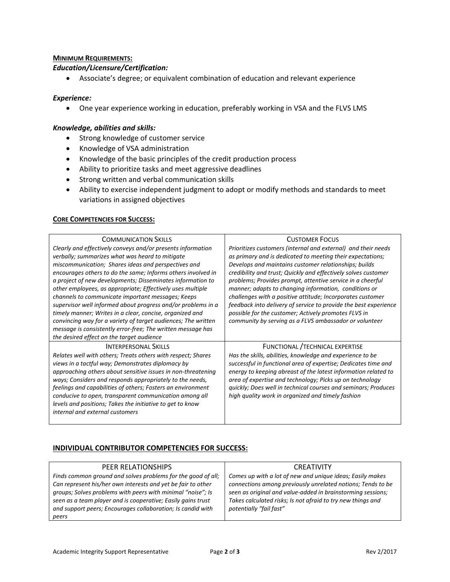### **MINIMUM REQUIREMENTS:**

### *Education/Licensure/Certification:*

Associate's degree; or equivalent combination of education and relevant experience

# *Experience:*

One year experience working in education, preferably working in VSA and the FLVS LMS

### *Knowledge, abilities and skills:*

- Strong knowledge of customer service
- Knowledge of VSA administration
- Knowledge of the basic principles of the credit production process
- Ability to prioritize tasks and meet aggressive deadlines
- Strong written and verbal communication skills
- Ability to exercise independent judgment to adopt or modify methods and standards to meet variations in assigned objectives

#### **CORE COMPETENCIES FOR SUCCESS:**

| <b>COMMUNICATION SKILLS</b>                                   | <b>CUSTOMER FOCUS</b>                                            |
|---------------------------------------------------------------|------------------------------------------------------------------|
| Clearly and effectively conveys and/or presents information   | Prioritizes customers (internal and external) and their needs    |
| verbally; summarizes what was heard to mitigate               | as primary and is dedicated to meeting their expectations;       |
| miscommunication; Shares ideas and perspectives and           | Develops and maintains customer relationships; builds            |
| encourages others to do the same; Informs others involved in  | credibility and trust; Quickly and effectively solves customer   |
| a project of new developments; Disseminates information to    | problems; Provides prompt, attentive service in a cheerful       |
| other employees, as appropriate; Effectively uses multiple    | manner; adapts to changing information, conditions or            |
| channels to communicate important messages; Keeps             | challenges with a positive attitude; Incorporates customer       |
| supervisor well informed about progress and/or problems in a  | feedback into delivery of service to provide the best experience |
| timely manner; Writes in a clear, concise, organized and      | possible for the customer; Actively promotes FLVS in             |
| convincing way for a variety of target audiences; The written | community by serving as a FLVS ambassador or volunteer           |
| message is consistently error-free; The written message has   |                                                                  |
| the desired effect on the target audience                     |                                                                  |
| <b>INTERPERSONAL SKILLS</b>                                   | FUNCTIONAL / TECHNICAL EXPERTISE                                 |
| Relates well with others; Treats others with respect; Shares  | Has the skills, abilities, knowledge and experience to be        |
| views in a tactful way; Demonstrates diplomacy by             | successful in functional area of expertise; Dedicates time and   |
| approaching others about sensitive issues in non-threatening  | energy to keeping abreast of the latest information related to   |
| ways; Considers and responds appropriately to the needs,      | area of expertise and technology; Picks up on technology         |
| feelings and capabilities of others; Fosters an environment   | quickly; Does well in technical courses and seminars; Produces   |
| conducive to open, transparent communication among all        | high quality work in organized and timely fashion                |
| levels and positions; Takes the initiative to get to know     |                                                                  |
| internal and external customers                               |                                                                  |
|                                                               |                                                                  |

# **INDIVIDUAL CONTRIBUTOR COMPETENCIES FOR SUCCESS:**

| PEER RELATIONSHIPS                                                                                                          | <b>CREATIVITY</b>                                                                                                          |
|-----------------------------------------------------------------------------------------------------------------------------|----------------------------------------------------------------------------------------------------------------------------|
| Finds common ground and solves problems for the good of all;                                                                | Comes up with a lot of new and unique ideas; Easily makes                                                                  |
| Can represent his/her own interests and yet be fair to other                                                                | connections among previously unrelated notions; Tends to be                                                                |
| groups; Solves problems with peers with minimal "noise"; Is<br>seen as a team player and is cooperative; Easily gains trust | seen as original and value-added in brainstorming sessions;<br>Takes calculated risks; Is not afraid to try new things and |
| and support peers; Encourages collaboration; Is candid with                                                                 | potentially "fail fast"                                                                                                    |
|                                                                                                                             |                                                                                                                            |
| peers                                                                                                                       |                                                                                                                            |